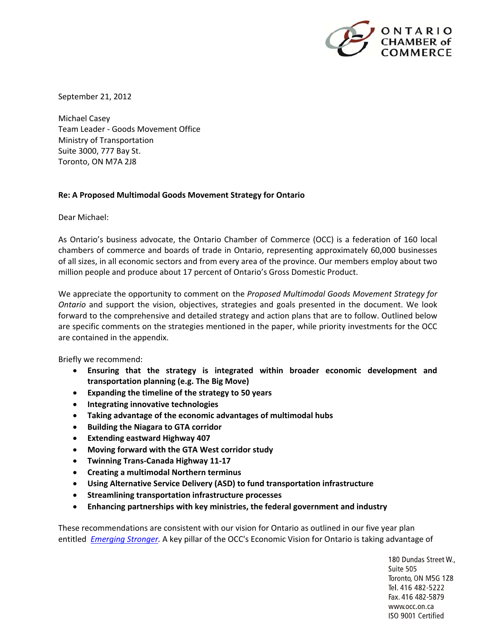

September 21, 2012

Michael Casey Team Leader ‐ Goods Movement Office Ministry of Transportation Suite 3000, 777 Bay St. Toronto, ON M7A 2J8

#### **Re: A Proposed Multimodal Goods Movement Strategy for Ontario**

Dear Michael:

As Ontario's business advocate, the Ontario Chamber of Commerce (OCC) is a federation of 160 local chambers of commerce and boards of trade in Ontario, representing approximately 60,000 businesses of all sizes, in all economic sectors and from every area of the province. Our members employ about two million people and produce about 17 percent of Ontario's Gross Domestic Product.

We appreciate the opportunity to comment on the *Proposed Multimodal Goods Movement Strategy for Ontario* and support the vision, objectives, strategies and goals presented in the document. We look forward to the comprehensive and detailed strategy and action plans that are to follow. Outlined below are specific comments on the strategies mentioned in the paper, while priority investments for the OCC are contained in the appendix.

Briefly we recommend:

- **Ensuring that the strategy is integrated within broader economic development and transportation planning (e.g. The Big Move)**
- **Expanding the timeline of the strategy to 50 years**
- **Integrating innovative technologies**
- **Taking advantage of the economic advantages of multimodal hubs**
- **Building the Niagara to GTA corridor**
- **Extending eastward Highway 407**
- **Moving forward with the GTA West corridor study**
- **Twinning Trans‐Canada Highway 11‐17**
- **Creating a multimodal Northern terminus**
- **Using Alternative Service Delivery (ASD) to fund transportation infrastructure**
- **Streamlining transportation infrastructure processes**
- **Enhancing partnerships with key ministries, the federal government and industry**

These recommendations are consistent with our vision for Ontario as outlined in our five year plan entitled *Emerging Stronger.* A key pillar of the OCC's Economic Vision for Ontario is taking advantage of

> 180 Dundas Street W., Suite 505 Toronto, ON M5G 1Z8 Tel. 416 482-5222 Fax. 416 482-5879 www.occ.on.ca ISO 9001 Certified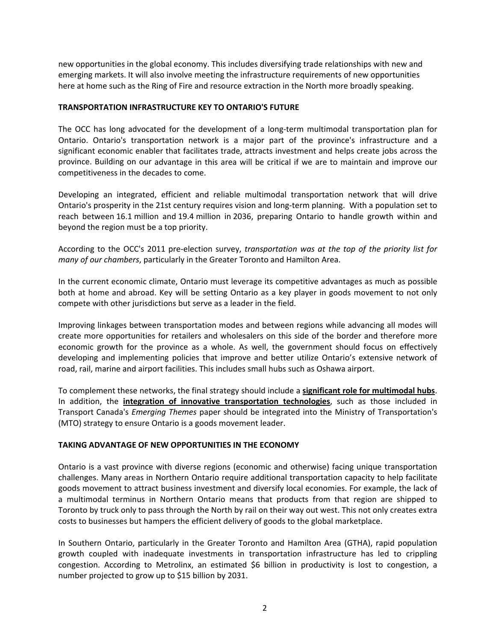new opportunities in the global economy. This includes diversifying trade relationships with new and emerging markets. It will also involve meeting the infrastructure requirements of new opportunities here at home such as the Ring of Fire and resource extraction in the North more broadly speaking.

#### **TRANSPORTATION INFRASTRUCTURE KEY TO ONTARIO'S FUTURE**

The OCC has long advocated for the development of a long‐term multimodal transportation plan for Ontario. Ontario's transportation network is a major part of the province's infrastructure and a significant economic enabler that facilitates trade, attracts investment and helps create jobs across the province. Building on our advantage in this area will be critical if we are to maintain and improve our competitiveness in the decades to come.

Developing an integrated, efficient and reliable multimodal transportation network that will drive Ontario's prosperity in the 21st century requires vision and long‐term planning. With a population set to reach between 16.1 million and 19.4 million in 2036, preparing Ontario to handle growth within and beyond the region must be a top priority.

According to the OCC's 2011 pre‐election survey, *transportation was at the top of the priority list for many of our chambers*, particularly in the Greater Toronto and Hamilton Area.

In the current economic climate, Ontario must leverage its competitive advantages as much as possible both at home and abroad. Key will be setting Ontario as a key player in goods movement to not only compete with other jurisdictions but serve as a leader in the field.

Improving linkages between transportation modes and between regions while advancing all modes will create more opportunities for retailers and wholesalers on this side of the border and therefore more economic growth for the province as a whole. As well, the government should focus on effectively developing and implementing policies that improve and better utilize Ontario's extensive network of road, rail, marine and airport facilities. This includes small hubs such as Oshawa airport.

To complement these networks, the final strategy should include a **significant role for multimodal hubs**. In addition, the **integration of innovative transportation technologies**, such as those included in Transport Canada's *Emerging Themes* paper should be integrated into the Ministry of Transportation's (MTO) strategy to ensure Ontario is a goods movement leader.

## **TAKING ADVANTAGE OF NEW OPPORTUNITIES IN THE ECONOMY**

Ontario is a vast province with diverse regions (economic and otherwise) facing unique transportation challenges. Many areas in Northern Ontario require additional transportation capacity to help facilitate goods movement to attract business investment and diversify local economies. For example, the lack of a multimodal terminus in Northern Ontario means that products from that region are shipped to Toronto by truck only to pass through the North by rail on their way out west. This not only creates extra costs to businesses but hampers the efficient delivery of goods to the global marketplace.

In Southern Ontario, particularly in the Greater Toronto and Hamilton Area (GTHA), rapid population growth coupled with inadequate investments in transportation infrastructure has led to crippling congestion. According to Metrolinx, an estimated \$6 billion in productivity is lost to congestion, a number projected to grow up to \$15 billion by 2031.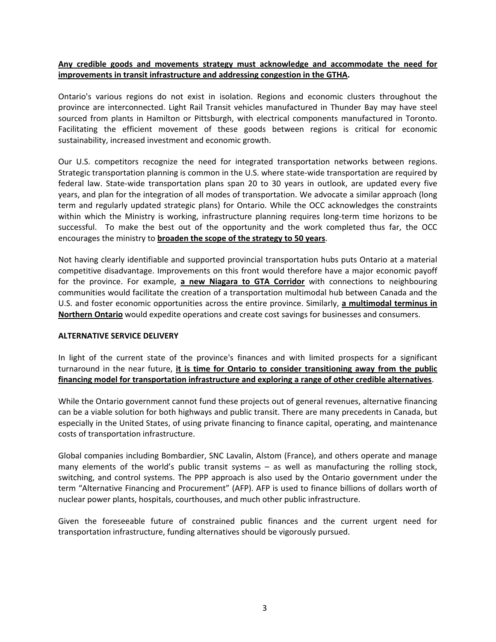## **Any credible goods and movements strategy must acknowledge and accommodate the need for improvements in transit infrastructure and addressing congestion in the GTHA.**

Ontario's various regions do not exist in isolation. Regions and economic clusters throughout the province are interconnected. Light Rail Transit vehicles manufactured in Thunder Bay may have steel sourced from plants in Hamilton or Pittsburgh, with electrical components manufactured in Toronto. Facilitating the efficient movement of these goods between regions is critical for economic sustainability, increased investment and economic growth.

Our U.S. competitors recognize the need for integrated transportation networks between regions. Strategic transportation planning is common in the U.S. where state-wide transportation are required by federal law. State-wide transportation plans span 20 to 30 years in outlook, are updated every five years, and plan for the integration of all modes of transportation. We advocate a similar approach (long term and regularly updated strategic plans) for Ontario. While the OCC acknowledges the constraints within which the Ministry is working, infrastructure planning requires long-term time horizons to be successful. To make the best out of the opportunity and the work completed thus far, the OCC encourages the ministry to **broaden the scope of the strategy to 50 years**.

Not having clearly identifiable and supported provincial transportation hubs puts Ontario at a material competitive disadvantage. Improvements on this front would therefore have a major economic payoff for the province. For example, **a new Niagara to GTA Corridor** with connections to neighbouring communities would facilitate the creation of a transportation multimodal hub between Canada and the U.S. and foster economic opportunities across the entire province. Similarly, **a multimodal terminus in Northern Ontario** would expedite operations and create cost savings for businesses and consumers.

## **ALTERNATIVE SERVICE DELIVERY**

In light of the current state of the province's finances and with limited prospects for a significant turnaround in the near future, **it is time for Ontario to consider transitioning away from the public financing model for transportation infrastructure and exploring a range of other credible alternatives**.

While the Ontario government cannot fund these projects out of general revenues, alternative financing can be a viable solution for both highways and public transit. There are many precedents in Canada, but especially in the United States, of using private financing to finance capital, operating, and maintenance costs of transportation infrastructure.

Global companies including Bombardier, SNC Lavalin, Alstom (France), and others operate and manage many elements of the world's public transit systems – as well as manufacturing the rolling stock, switching, and control systems. The PPP approach is also used by the Ontario government under the term "Alternative Financing and Procurement" (AFP). AFP is used to finance billions of dollars worth of nuclear power plants, hospitals, courthouses, and much other public infrastructure.

Given the foreseeable future of constrained public finances and the current urgent need for transportation infrastructure, funding alternatives should be vigorously pursued.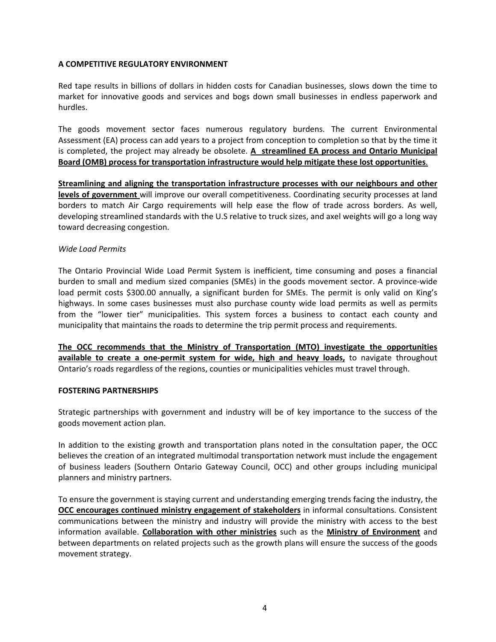## **A COMPETITIVE REGULATORY ENVIRONMENT**

Red tape results in billions of dollars in hidden costs for Canadian businesses, slows down the time to market for innovative goods and services and bogs down small businesses in endless paperwork and hurdles.

The goods movement sector faces numerous regulatory burdens. The current Environmental Assessment (EA) process can add years to a project from conception to completion so that by the time it is completed, the project may already be obsolete. **A streamlined EA process and Ontario Municipal Board (OMB) process for transportation infrastructure would help mitigate these lost opportunities**.

**Streamlining and aligning the transportation infrastructure processes with our neighbours and other levels of government** will improve our overall competitiveness. Coordinating security processes at land borders to match Air Cargo requirements will help ease the flow of trade across borders. As well, developing streamlined standards with the U.S relative to truck sizes, and axel weights will go a long way toward decreasing congestion.

#### *Wide Load Permits*

The Ontario Provincial Wide Load Permit System is inefficient, time consuming and poses a financial burden to small and medium sized companies (SMEs) in the goods movement sector. A province‐wide load permit costs \$300.00 annually, a significant burden for SMEs. The permit is only valid on King's highways. In some cases businesses must also purchase county wide load permits as well as permits from the "lower tier" municipalities. This system forces a business to contact each county and municipality that maintains the roads to determine the trip permit process and requirements.

**The OCC recommends that the Ministry of Transportation (MTO) investigate the opportunities available to create a one‐permit system for wide, high and heavy loads,** to navigate throughout Ontario's roads regardless of the regions, counties or municipalities vehicles must travel through.

## **FOSTERING PARTNERSHIPS**

Strategic partnerships with government and industry will be of key importance to the success of the goods movement action plan.

In addition to the existing growth and transportation plans noted in the consultation paper, the OCC believes the creation of an integrated multimodal transportation network must include the engagement of business leaders (Southern Ontario Gateway Council, OCC) and other groups including municipal planners and ministry partners.

To ensure the government is staying current and understanding emerging trends facing the industry, the **OCC encourages continued ministry engagement of stakeholders** in informal consultations. Consistent communications between the ministry and industry will provide the ministry with access to the best information available. **Collaboration with other ministries** such as the **Ministry of Environment** and between departments on related projects such as the growth plans will ensure the success of the goods movement strategy.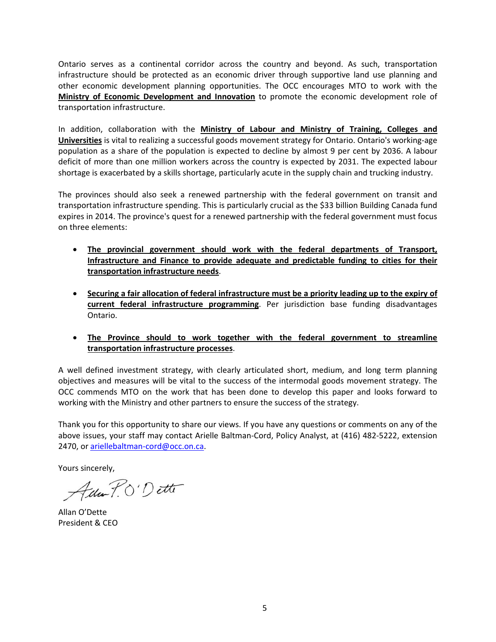Ontario serves as a continental corridor across the country and beyond. As such, transportation infrastructure should be protected as an economic driver through supportive land use planning and other economic development planning opportunities. The OCC encourages MTO to work with the **Ministry of Economic Development and Innovation** to promote the economic development role of transportation infrastructure.

In addition, collaboration with the **Ministry of Labour and Ministry of Training, Colleges and Universities** is vital to realizing a successful goods movement strategy for Ontario. Ontario's working‐age population as a share of the population is expected to decline by almost 9 per cent by 2036. A labour deficit of more than one million workers across the country is expected by 2031. The expected labour shortage is exacerbated by a skills shortage, particularly acute in the supply chain and trucking industry.

The provinces should also seek a renewed partnership with the federal government on transit and transportation infrastructure spending. This is particularly crucial as the \$33 billion Building Canada fund expires in 2014. The province's quest for a renewed partnership with the federal government must focus on three elements:

- **The provincial government should work with the federal departments of Transport, Infrastructure and Finance to provide adequate and predictable funding to cities for their transportation infrastructure needs**.
- **Securing a fair allocation of federal infrastructure must be a priority leading up to the expiry of current federal infrastructure programming**. Per jurisdiction base funding disadvantages Ontario.
- **The Province should to work together with the federal government to streamline transportation infrastructure processes**.

A well defined investment strategy, with clearly articulated short, medium, and long term planning objectives and measures will be vital to the success of the intermodal goods movement strategy. The OCC commends MTO on the work that has been done to develop this paper and looks forward to working with the Ministry and other partners to ensure the success of the strategy.

Thank you for this opportunity to share our views. If you have any questions or comments on any of the above issues, your staff may contact Arielle Baltman‐Cord, Policy Analyst, at (416) 482‐5222, extension 2470, or ariellebaltman-cord@occ.on.ca.

Yours sincerely,

Ada P.O'Dette

Allan O'Dette President & CEO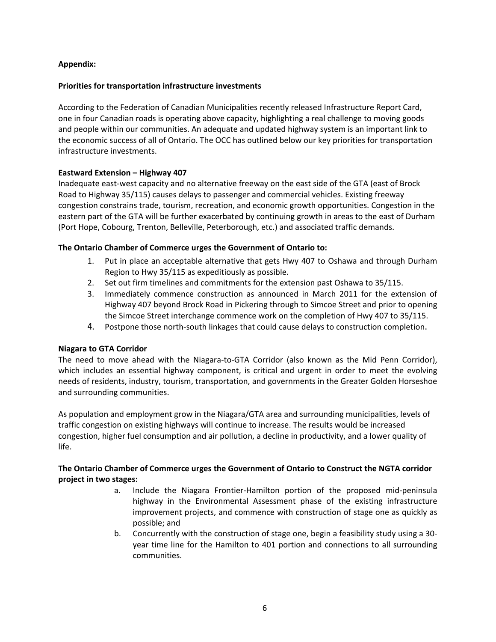## **Appendix:**

## **Priorities for transportation infrastructure investments**

According to the Federation of Canadian Municipalities recently released Infrastructure Report Card, one in four Canadian roads is operating above capacity, highlighting a real challenge to moving goods and people within our communities. An adequate and updated highway system is an important link to the economic success of all of Ontario. The OCC has outlined below our key priorities for transportation infrastructure investments.

## **Eastward Extension – Highway 407**

Inadequate east-west capacity and no alternative freeway on the east side of the GTA (east of Brock Road to Highway 35/115) causes delays to passenger and commercial vehicles. Existing freeway congestion constrains trade, tourism, recreation, and economic growth opportunities. Congestion in the eastern part of the GTA will be further exacerbated by continuing growth in areas to the east of Durham (Port Hope, Cobourg, Trenton, Belleville, Peterborough, etc.) and associated traffic demands.

#### **The Ontario Chamber of Commerce urges the Government of Ontario to:**

- 1. Put in place an acceptable alternative that gets Hwy 407 to Oshawa and through Durham Region to Hwy 35/115 as expeditiously as possible.
- 2. Set out firm timelines and commitments for the extension past Oshawa to 35/115.
- 3. Immediately commence construction as announced in March 2011 for the extension of Highway 407 beyond Brock Road in Pickering through to Simcoe Street and prior to opening the Simcoe Street interchange commence work on the completion of Hwy 407 to 35/115.
- 4. Postpone those north‐south linkages that could cause delays to construction completion.

## **Niagara to GTA Corridor**

The need to move ahead with the Niagara-to-GTA Corridor (also known as the Mid Penn Corridor), which includes an essential highway component, is critical and urgent in order to meet the evolving needs of residents, industry, tourism, transportation, and governments in the Greater Golden Horseshoe and surrounding communities.

As population and employment grow in the Niagara/GTA area and surrounding municipalities, levels of traffic congestion on existing highways will continue to increase. The results would be increased congestion, higher fuel consumption and air pollution, a decline in productivity, and a lower quality of life.

## **The Ontario Chamber of Commerce urges the Government of Ontario to Construct the NGTA corridor project in two stages:**

- a. Include the Niagara Frontier‐Hamilton portion of the proposed mid‐peninsula highway in the Environmental Assessment phase of the existing infrastructure improvement projects, and commence with construction of stage one as quickly as possible; and
- b. Concurrently with the construction of stage one, begin a feasibility study using a 30‐ year time line for the Hamilton to 401 portion and connections to all surrounding communities.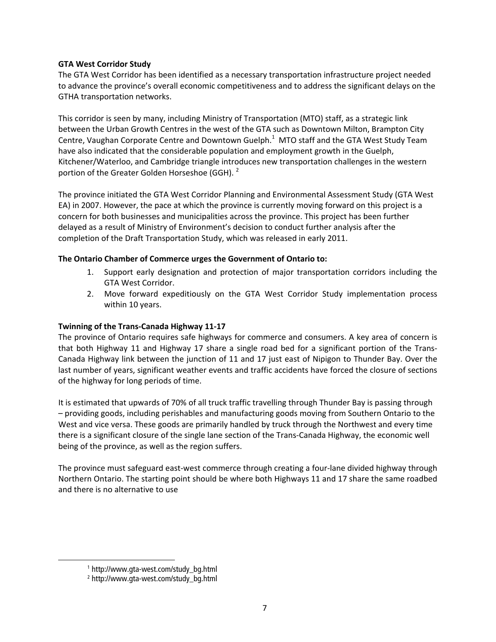## **GTA West Corridor Study**

The GTA West Corridor has been identified as a necessary transportation infrastructure project needed to advance the province's overall economic competitiveness and to address the significant delays on the GTHA transportation networks.

This corridor is seen by many, including Ministry of Transportation (MTO) staff, as a strategic link between the Urban Growth Centres in the west of the GTA such as Downtown Milton, Brampton City Centre, Vaughan Corporate Centre and Downtown Guelph. $^1$  MTO staff and the GTA West Study Team have also indicated that the considerable population and employment growth in the Guelph, Kitchener/Waterloo, and Cambridge triangle introduces new transportation challenges in the western portion of the Greater Golden Horseshoe (GGH).  $2$ 

The province initiated the GTA West Corridor Planning and Environmental Assessment Study (GTA West EA) in 2007. However, the pace at which the province is currently moving forward on this project is a concern for both businesses and municipalities across the province. This project has been further delayed as a result of Ministry of Environment's decision to conduct further analysis after the completion of the Draft Transportation Study, which was released in early 2011.

# **The Ontario Chamber of Commerce urges the Government of Ontario to:**

- 1. Support early designation and protection of major transportation corridors including the GTA West Corridor.
- 2. Move forward expeditiously on the GTA West Corridor Study implementation process within 10 years.

# **Twinning of the Trans‐Canada Highway 11‐17**

The province of Ontario requires safe highways for commerce and consumers. A key area of concern is that both Highway 11 and Highway 17 share a single road bed for a significant portion of the Trans‐ Canada Highway link between the junction of 11 and 17 just east of Nipigon to Thunder Bay. Over the last number of years, significant weather events and traffic accidents have forced the closure of sections of the highway for long periods of time.

It is estimated that upwards of 70% of all truck traffic travelling through Thunder Bay is passing through – providing goods, including perishables and manufacturing goods moving from Southern Ontario to the West and vice versa. These goods are primarily handled by truck through the Northwest and every time there is a significant closure of the single lane section of the Trans‐Canada Highway, the economic well being of the province, as well as the region suffers.

The province must safeguard east‐west commerce through creating a four‐lane divided highway through Northern Ontario. The starting point should be where both Highways 11 and 17 share the same roadbed and there is no alternative to use

j

<sup>1</sup> http://www.gta-west.com/study\_bg.html

<sup>2</sup> http://www.gta-west.com/study\_bg.html